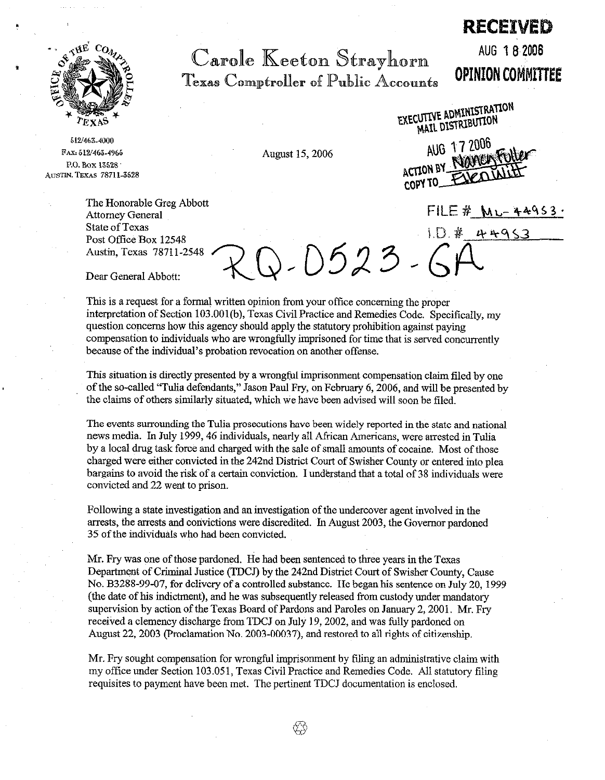

512/463-4000 FAX: 512/463-4965 P.O. Box 13528 AUSTIN, TEXAS 78711-3528

> The Honorable Greg Abbott Attorney General State of Texas Post Office Box 12548<br>Austin, Texas 78711-2548

Carole Keeton Strayhorn Texas Comptroller of Public Accounts

August 15,2006

AUG 18 2006 **OPINION COMMITTEE** 

RECEIVED

EXECUTIVE ADMINISTRATION MAIL DISTRIBUTION

AUG 17 2006 AUG 17600 COPY TO\_

 $FILE \# M_L - 44953$ 

Dear General Abbott:

This is a request for a formal written opinion from your offtce concerning the proper interpretation of Section 103.001(b), Texas Civil Practice and Remedies Code. Specifically, my question concerns how this agency should apply the statutory prohibition against paying compensation to individuals who are wrongfully imprisoned for time that is served concurrently because of the individual's probation revocation on another offense.

J. 0523 -

This situation is directly presented by a wrongful imprisonment compensation claim filed by one of the so-called "Tulia defendants," Jason Paul Fry, on February 6, 2006, and will be presented by the claims of others similarly situated, which we have been advised will soon be filed.

The events surrounding the Tulia prosecutions have been widely reported in the state and national news media. In July 1999,46 individuals, nearly all African Americans, were arrested in Tulia by a local drug task force and charged with the sale of small amounts of cocaine. Most of those charged were either convicted in the 242nd District Court of Swisher County or entered into plea bargains to avoid the risk of a certain conviction. I understand that a total of 38 individuals were convicted and 22 went to prison.

Following a state investigation and an investigation of the undercover agent involved in the arrests, the arrests and convictions were discredited. In August 2003, the Governor pardoned 35 of the individuals who had been convicted.

Mr. Fry was one of those pardoned. He had been sentenced to three years in the Texas Department of Criminal Justice (TDCJ) by the 242nd District Court of Swisher County, Cause No. B3288-99-07, for delivery of a controlled substance. He began his sentence on July 20, 1999 (the date of his indictment), and he was subsequently released from custody under mandatory supervision by action of the Texas Board of Pardons and Paroles on January 2,200l. Mr. Fry received a clemency discharge from TDCJ on July 19,2002, and was fully pardoned on August 22, 2003 (Proclamation No. 2003-00037), and restored to all rights of citizenship.

Mr. Fry sought compensation for wrongful imprisonment by filing an administrative claim with my office under Section 103.051, Texas Civil Practice and Remedies Code. All statutory filing requisites to payment have been met. The pertinent TDCJ documentation is enclosed.